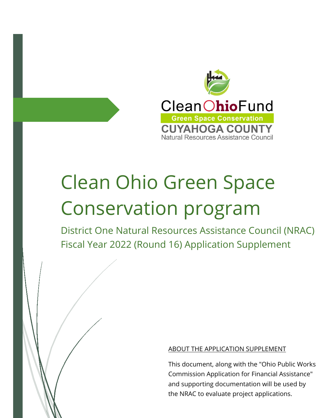

# Clean Ohio Green Space Conservation program

District One Natural Resources Assistance Council (NRAC) Fiscal Year 2022 (Round 16) Application Supplement

## ABOUT THE APPLICATION SUPPLEMENT

This document, along with the "Ohio Public Works Commission Application for Financial Assistance" and supporting documentation will be used by the NRAC to evaluate project applications.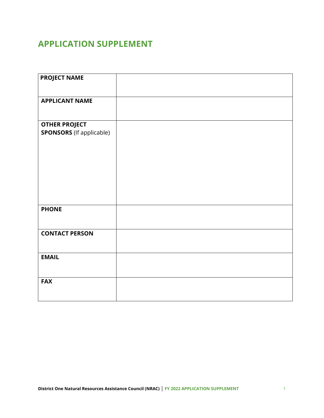# **APPLICATION SUPPLEMENT**

| <b>PROJECT NAME</b>             |  |
|---------------------------------|--|
|                                 |  |
| <b>APPLICANT NAME</b>           |  |
|                                 |  |
|                                 |  |
| <b>OTHER PROJECT</b>            |  |
| <b>SPONSORS</b> (If applicable) |  |
|                                 |  |
|                                 |  |
|                                 |  |
|                                 |  |
|                                 |  |
|                                 |  |
|                                 |  |
|                                 |  |
| <b>PHONE</b>                    |  |
|                                 |  |
|                                 |  |
| <b>CONTACT PERSON</b>           |  |
|                                 |  |
|                                 |  |
| <b>EMAIL</b>                    |  |
|                                 |  |
|                                 |  |
| <b>FAX</b>                      |  |
|                                 |  |
|                                 |  |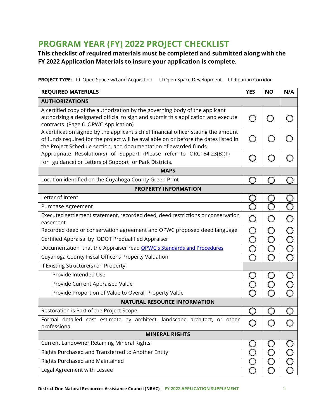# **PROGRAM YEAR (FY) 2022 PROJECT CHECKLIST**

# **This checklist of required materials must be completed and submitted along with the FY 2022 Application Materials to insure your application is complete.**

**PROJECT TYPE:** □ Open Space w/Land Acquisition □ Open Space Development □ Riparian Corridor

| <b>REQUIRED MATERIALS</b>                                                                                                                                 | <b>YES</b> | <b>NO</b> | N/A |  |  |
|-----------------------------------------------------------------------------------------------------------------------------------------------------------|------------|-----------|-----|--|--|
| <b>AUTHORIZATIONS</b>                                                                                                                                     |            |           |     |  |  |
| A certified copy of the authorization by the governing body of the applicant                                                                              |            |           |     |  |  |
| authorizing a designated official to sign and submit this application and execute<br>contracts. (Page 6. OPWC Application)                                |            |           |     |  |  |
| A certification signed by the applicant's chief financial officer stating the amount                                                                      |            |           |     |  |  |
| of funds required for the project will be available on or before the dates listed in<br>the Project Schedule section, and documentation of awarded funds. |            |           |     |  |  |
| Appropriate Resolution(s) of Support (Please refer to ORC164.23(B)(1)                                                                                     |            |           |     |  |  |
| for guidance) or Letters of Support for Park Districts.                                                                                                   |            |           |     |  |  |
| <b>MAPS</b>                                                                                                                                               |            |           |     |  |  |
| Location identified on the Cuyahoga County Green Print                                                                                                    |            |           |     |  |  |
| <b>PROPERTY INFORMATION</b>                                                                                                                               |            |           |     |  |  |
| Letter of Intent                                                                                                                                          |            |           |     |  |  |
| Purchase Agreement                                                                                                                                        |            |           |     |  |  |
| Executed settlement statement, recorded deed, deed restrictions or conservation<br>easement                                                               |            |           |     |  |  |
| Recorded deed or conservation agreement and OPWC proposed deed language                                                                                   |            |           |     |  |  |
| Certified Appraisal by ODOT Prequalified Appraiser                                                                                                        | ∩          |           |     |  |  |
| Documentation that the Appraiser read OPWC's Standards and Procedures                                                                                     |            |           |     |  |  |
| Cuyahoga County Fiscal Officer's Property Valuation                                                                                                       |            |           |     |  |  |
| If Existing Structure(s) on Property:                                                                                                                     |            |           |     |  |  |
| Provide Intended Use                                                                                                                                      |            |           |     |  |  |
| Provide Current Appraised Value                                                                                                                           |            |           |     |  |  |
| Provide Proportion of Value to Overall Property Value                                                                                                     |            |           |     |  |  |
| <b>NATURAL RESOURCE INFORMATION</b>                                                                                                                       |            |           |     |  |  |
| Restoration is Part of the Project Scope                                                                                                                  |            |           |     |  |  |
| Formal detailed cost estimate by architect, landscape architect, or other<br>professional                                                                 |            |           |     |  |  |
| <b>MINERAL RIGHTS</b>                                                                                                                                     |            |           |     |  |  |
| <b>Current Landowner Retaining Mineral Rights</b>                                                                                                         |            |           |     |  |  |
| Rights Purchased and Transferred to Another Entity                                                                                                        |            |           |     |  |  |
| Rights Purchased and Maintained                                                                                                                           |            |           |     |  |  |
| Legal Agreement with Lessee                                                                                                                               |            |           |     |  |  |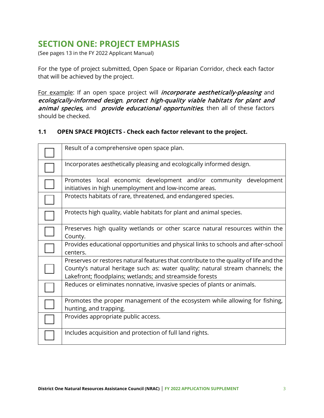# **SECTION ONE: PROJECT EMPHASIS**

(See pages 13 in the FY 2022 Applicant Manual)

For the type of project submitted, Open Space or Riparian Corridor, check each factor that will be achieved by the project.

For example: If an open space project will *incorporate aesthetically-pleasing* and ecologically-informed design, protect high-quality viable habitats for plant and animal species, and provide educational opportunities, then all of these factors should be checked.

## **1.1 OPEN SPACE PROJECTS - Check each factor relevant to the project.**

| Result of a comprehensive open space plan.                                                                                                                                                                                          |
|-------------------------------------------------------------------------------------------------------------------------------------------------------------------------------------------------------------------------------------|
| Incorporates aesthetically pleasing and ecologically informed design.                                                                                                                                                               |
| Promotes local economic development and/or community development<br>initiatives in high unemployment and low-income areas.                                                                                                          |
| Protects habitats of rare, threatened, and endangered species.                                                                                                                                                                      |
| Protects high quality, viable habitats for plant and animal species.                                                                                                                                                                |
| Preserves high quality wetlands or other scarce natural resources within the<br>County.                                                                                                                                             |
| Provides educational opportunities and physical links to schools and after-school<br>centers.                                                                                                                                       |
| Preserves or restores natural features that contribute to the quality of life and the<br>County's natural heritage such as: water quality; natural stream channels; the<br>Lakefront; floodplains; wetlands; and streamside forests |
| Reduces or eliminates nonnative, invasive species of plants or animals.                                                                                                                                                             |
| Promotes the proper management of the ecosystem while allowing for fishing,<br>hunting, and trapping.                                                                                                                               |
| Provides appropriate public access.                                                                                                                                                                                                 |
| Includes acquisition and protection of full land rights.                                                                                                                                                                            |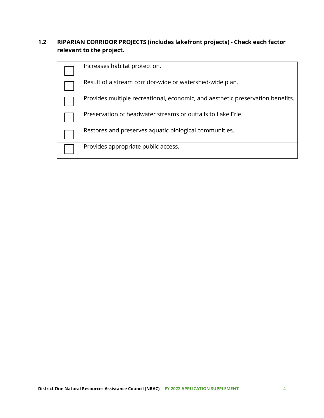# **1.2 RIPARIAN CORRIDOR PROJECTS (includes lakefront projects) - Check each factor relevant to the project.**

| Increases habitat protection.                                                  |
|--------------------------------------------------------------------------------|
| Result of a stream corridor-wide or watershed-wide plan.                       |
| Provides multiple recreational, economic, and aesthetic preservation benefits. |
| Preservation of headwater streams or outfalls to Lake Erie.                    |
| Restores and preserves aquatic biological communities.                         |
| Provides appropriate public access.                                            |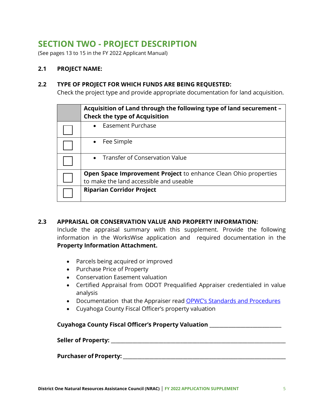# **SECTION TWO - PROJECT DESCRIPTION**

(See pages 13 to 15 in the FY 2022 Applicant Manual)

### **2.1 PROJECT NAME:**

#### **2.2 TYPE OF PROJECT FOR WHICH FUNDS ARE BEING REQUESTED:**

Check the project type and provide appropriate documentation for land acquisition.

|  | Acquisition of Land through the following type of land securement -<br><b>Check the type of Acquisition</b> |
|--|-------------------------------------------------------------------------------------------------------------|
|  | Easement Purchase                                                                                           |
|  | Fee Simple                                                                                                  |
|  | <b>Transfer of Conservation Value</b>                                                                       |
|  | <b>Open Space Improvement Project</b> to enhance Clean Ohio properties                                      |
|  | to make the land accessible and useable                                                                     |
|  | <b>Riparian Corridor Project</b>                                                                            |

## **2.3 APPRAISAL OR CONSERVATION VALUE AND PROPERTY INFORMATION:**

Include the appraisal summary with this supplement. Provide the following information in the WorksWise application and required documentation in the **Property Information Attachment.** 

- Parcels being acquired or improved
- Purchase Price of Property
- Conservation Easement valuation
- Certified Appraisal from ODOT Prequalified Appraiser credentialed in value analysis
- Documentation that the Appraiser read OPWC's Standards and Procedures
- Cuyahoga County Fiscal Officer's property valuation

#### **Cuyahoga County Fiscal Officer's Property Valuation \_\_\_\_\_\_\_\_\_\_\_\_\_\_\_\_\_\_\_\_\_\_\_\_\_\_\_\_\_\_**

**Seller of Property: \_\_\_\_\_\_\_\_\_\_\_\_\_\_\_\_\_\_\_\_\_\_\_\_\_\_\_\_\_\_\_\_\_\_\_\_\_\_\_\_\_\_\_\_\_\_\_\_\_\_\_\_\_\_\_\_\_\_\_\_\_\_\_\_\_\_\_\_\_\_\_\_\_**

#### **Purchaser of Property: \_\_\_\_\_\_\_\_\_\_\_\_\_\_\_\_\_\_\_\_\_\_\_\_\_\_\_\_\_\_\_\_\_\_\_\_\_\_\_\_\_\_\_\_\_\_\_\_\_\_\_\_\_\_\_\_\_\_\_\_\_\_\_\_\_\_\_\_**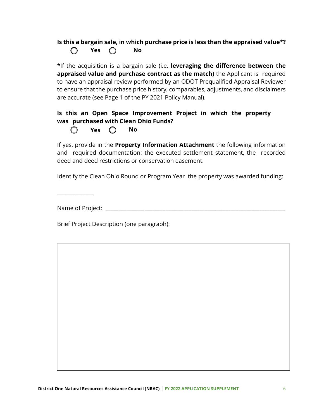# **Is this a bargain sale, in which purchase price is less than the appraised value\*? Yes No**

\*If the acquisition is a bargain sale (i.e. **leveraging the difference between the appraised value and purchase contract as the match)** the Applicant is required to have an appraisal review performed by an ODOT Prequalified Appraisal Reviewer to ensure that the purchase price history, comparables, adjustments, and disclaimers are accurate (see Page 1 of the PY 2021 Policy Manual).

## **Is this an Open Space Improvement Project in which the property was purchased with Clean Ohio Funds?**

**Yes No**   $\cap$ 

If yes, provide in the **Property Information Attachment** the following information and required documentation: the executed settlement statement, the recorded deed and deed restrictions or conservation easement.

Identify the Clean Ohio Round or Program Year the property was awarded funding:

\_\_\_\_\_\_\_\_\_\_\_\_\_\_

Name of Project: \_\_\_\_\_\_\_\_\_\_\_\_\_\_\_\_\_\_\_\_\_\_\_\_\_\_\_\_\_\_\_\_\_\_\_\_\_\_\_\_\_\_\_\_\_\_\_\_\_\_\_\_\_\_\_\_\_\_\_\_\_\_\_\_\_\_\_\_\_

Brief Project Description (one paragraph):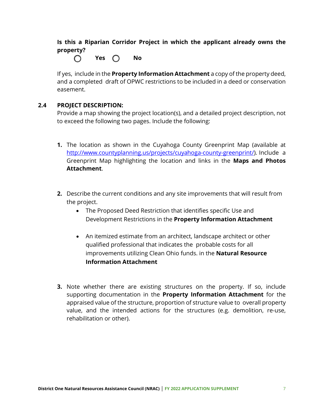**Is this a Riparian Corridor Project in which the applicant already owns the property?** 

**Yes No** 

If yes, include in the **Property Information Attachment** a copy of the property deed, and a completed draft of OPWC restrictions to be included in a deed or conservation easement.

#### **2.4 PROJECT DESCRIPTION:**

Provide a map showing the project location(s), and a detailed project description, not to exceed the following two pages. Include the following:

- **1.** The location as shown in the Cuyahoga County Greenprint Map (available at http://www.countyplanning.us/projects/cuyahoga-county-greenprint/). Include a Greenprint Map highlighting the location and links in the **Maps and Photos Attachment**.
- **2.** Describe the current conditions and any site improvements that will result from the project.
	- The Proposed Deed Restriction that identifies specific Use and Development Restrictions in the **Property Information Attachment**
	- An itemized estimate from an architect, landscape architect or other qualified professional that indicates the probable costs for all improvements utilizing Clean Ohio funds. in the **Natural Resource Information Attachment**
- **3.** Note whether there are existing structures on the property. If so, include supporting documentation in the **Property Information Attachment** for the appraised value of the structure, proportion of structure value to overall property value, and the intended actions for the structures (e.g. demolition, re-use, rehabilitation or other).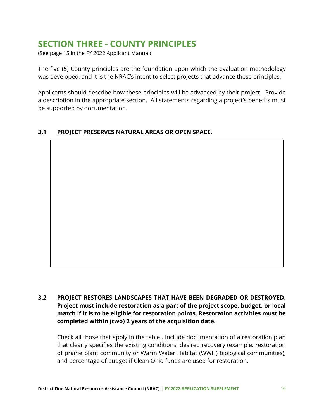# **SECTION THREE - COUNTY PRINCIPLES**

(See page 15 in the FY 2022 Applicant Manual)

The five (5) County principles are the foundation upon which the evaluation methodology was developed, and it is the NRAC's intent to select projects that advance these principles.

Applicants should describe how these principles will be advanced by their project. Provide a description in the appropriate section. All statements regarding a project's benefits must be supported by documentation.

## **3.1 PROJECT PRESERVES NATURAL AREAS OR OPEN SPACE.**

**3.2 PROJECT RESTORES LANDSCAPES THAT HAVE BEEN DEGRADED OR DESTROYED. Project must include restoration as a part of the project scope, budget, or local match if it is to be eligible for restoration points. Restoration activities must be completed within (two) 2 years of the acquisition date.**

Check all those that apply in the table . Include documentation of a restoration plan that clearly specifies the existing conditions, desired recovery (example: restoration of prairie plant community or Warm Water Habitat (WWH) biological communities), and percentage of budget if Clean Ohio funds are used for restoration.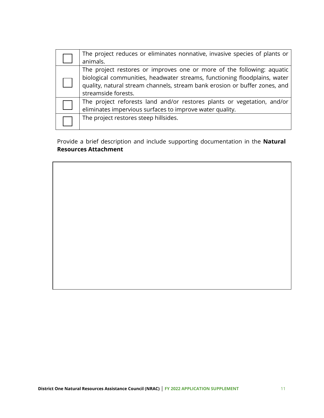| The project reduces or eliminates nonnative, invasive species of plants or<br>animals.                                                                                                                                                                   |
|----------------------------------------------------------------------------------------------------------------------------------------------------------------------------------------------------------------------------------------------------------|
| The project restores or improves one or more of the following: aquatic<br>biological communities, headwater streams, functioning floodplains, water<br>quality, natural stream channels, stream bank erosion or buffer zones, and<br>streamside forests. |
| The project reforests land and/or restores plants or vegetation, and/or<br>eliminates impervious surfaces to improve water quality.                                                                                                                      |
| The project restores steep hillsides.                                                                                                                                                                                                                    |

Provide a brief description and include supporting documentation in the **Natural Resources Attachment**

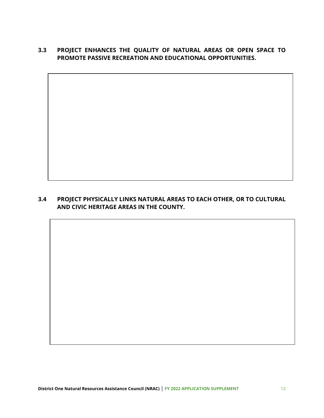# **3.3 PROJECT ENHANCES THE QUALITY OF NATURAL AREAS OR OPEN SPACE TO PROMOTE PASSIVE RECREATION AND EDUCATIONAL OPPORTUNITIES.**

# **3.4 PROJECT PHYSICALLY LINKS NATURAL AREAS TO EACH OTHER, OR TO CULTURAL AND CIVIC HERITAGE AREAS IN THE COUNTY.**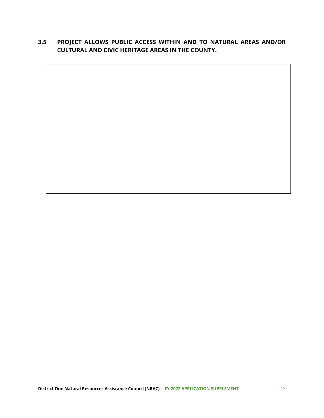# **3.5 PROJECT ALLOWS PUBLIC ACCESS WITHIN AND TO NATURAL AREAS AND/OR CULTURAL AND CIVIC HERITAGE AREAS IN THE COUNTY.**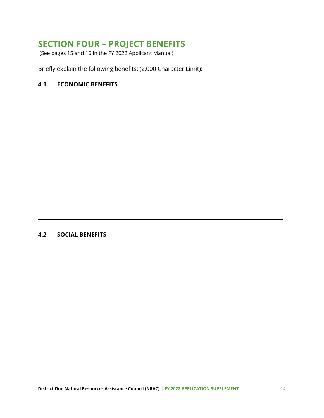# **SECTION FOUR – PROJECT BENEFITS**

(See pages 15 and 16 in the FY 2022 Applicant Manual)

Briefly explain the following benefits: (2,000 Character Limit):

### **4.1 ECONOMIC BENEFITS**

### **4.2 SOCIAL BENEFITS**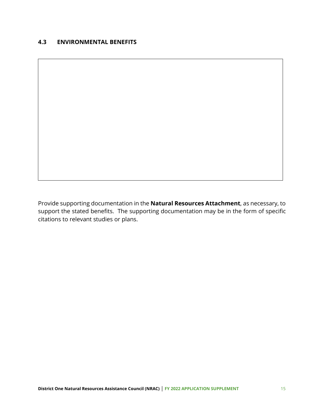#### **4.3 ENVIRONMENTAL BENEFITS**

Provide supporting documentation in the **Natural Resources Attachment**, as necessary, to support the stated benefits. The supporting documentation may be in the form of specific citations to relevant studies or plans.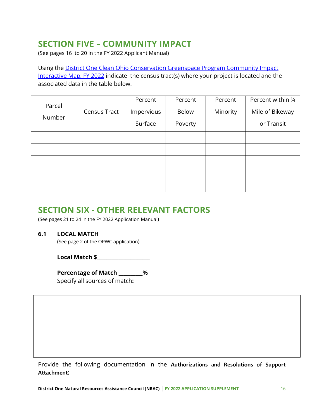# **SECTION FIVE – COMMUNITY IMPACT**

(See pages 16 to 20 in the FY 2022 Applicant Manual)

Using the District One Clean Ohio Conservation Greenspace Program Community Impact Interactive Map, FY 2022 indicate the census tract(s) where your project is located and the associated data in the table below:

| Parcel |              | Percent    | Percent      | Percent  | Percent within 1/4 |
|--------|--------------|------------|--------------|----------|--------------------|
|        | Census Tract | Impervious | <b>Below</b> | Minority | Mile of Bikeway    |
| Number |              | Surface    | Poverty      |          | or Transit         |
|        |              |            |              |          |                    |
|        |              |            |              |          |                    |
|        |              |            |              |          |                    |
|        |              |            |              |          |                    |
|        |              |            |              |          |                    |

# **SECTION SIX - OTHER RELEVANT FACTORS**

(See pages 21 to 24 in the FY 2022 Application Manual)

## **6.1 LOCAL MATCH**

(See page 2 of the OPWC application)

 **Local Match \$\_\_\_\_\_\_\_\_\_\_\_\_\_\_\_\_\_\_\_\_\_\_** 

**Percentage of Match \_\_\_\_\_\_\_\_\_\_%** Specify all sources of match**:** 

Provide the following documentation in the **Authorizations and Resolutions of Support Attachment:**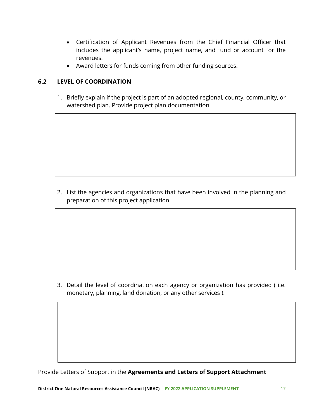- Certification of Applicant Revenues from the Chief Financial Officer that includes the applicant's name, project name, and fund or account for the revenues.
- Award letters for funds coming from other funding sources.

## **6.2 LEVEL OF COORDINATION**

1. Briefly explain if the project is part of an adopted regional, county, community, or watershed plan. Provide project plan documentation.

2. List the agencies and organizations that have been involved in the planning and preparation of this project application.

3. Detail the level of coordination each agency or organization has provided ( i.e. monetary, planning, land donation, or any other services ).

Provide Letters of Support in the **Agreements and Letters of Support Attachment**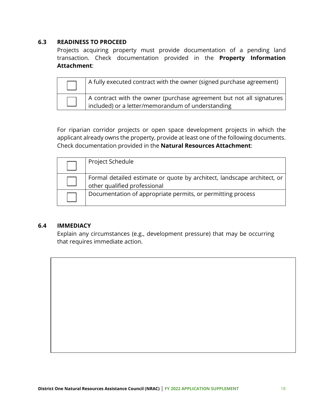#### **6.3 READINESS TO PROCEED**

Projects acquiring property must provide documentation of a pending land transaction. Check documentation provided in the **Property Information Attachment**:

| A fully executed contract with the owner (signed purchase agreement)                                                                    |
|-----------------------------------------------------------------------------------------------------------------------------------------|
| A contract with the owner (purchase agreement but not all signatures<br>$\frac{1}{2}$ included) or a letter/memorandum of understanding |

For riparian corridor projects or open space development projects in which the applicant already owns the property, provide at least one of the following documents. Check documentation provided in the **Natural Resources Attachment**:

| Project Schedule                                                                                        |
|---------------------------------------------------------------------------------------------------------|
| Formal detailed estimate or quote by architect, landscape architect, or<br>other qualified professional |
| Documentation of appropriate permits, or permitting process                                             |

#### **6.4 IMMEDIACY**

Explain any circumstances (e.g., development pressure) that may be occurring that requires immediate action.